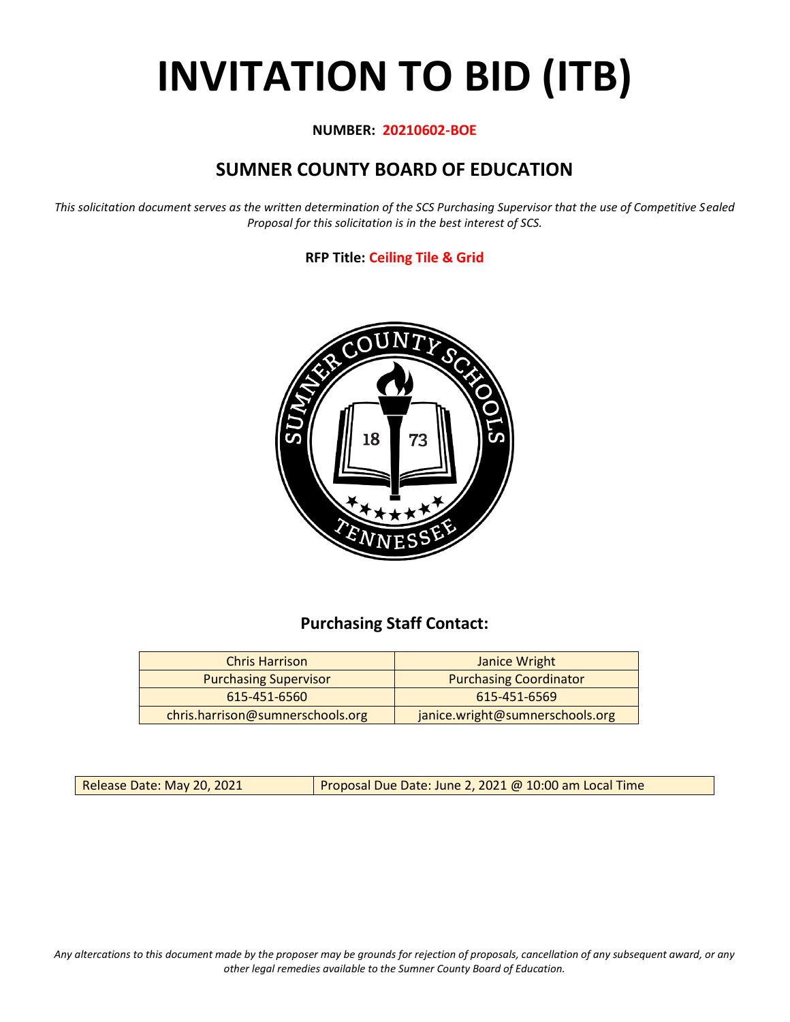# **INVITATION TO BID (ITB)**

#### **NUMBER: 20210602-BOE**

# **SUMNER COUNTY BOARD OF EDUCATION**

*This solicitation document serves as the written determination of the SCS Purchasing Supervisor that the use of Competitive Sealed Proposal for this solicitation is in the best interest of SCS.*

#### **RFP Title: Ceiling Tile & Grid**



## **Purchasing Staff Contact:**

| <b>Chris Harrison</b>            | Janice Wright                   |
|----------------------------------|---------------------------------|
| <b>Purchasing Supervisor</b>     | <b>Purchasing Coordinator</b>   |
| 615-451-6560                     | 615-451-6569                    |
| chris.harrison@sumnerschools.org | janice.wright@sumnerschools.org |

Release Date: May 20, 2021 **Proposal Due Date: June 2, 2021 @ 10:00 am Local Time** 

*Any altercations to this document made by the proposer may be grounds for rejection of proposals, cancellation of any subsequent award, or any other legal remedies available to the Sumner County Board of Education.*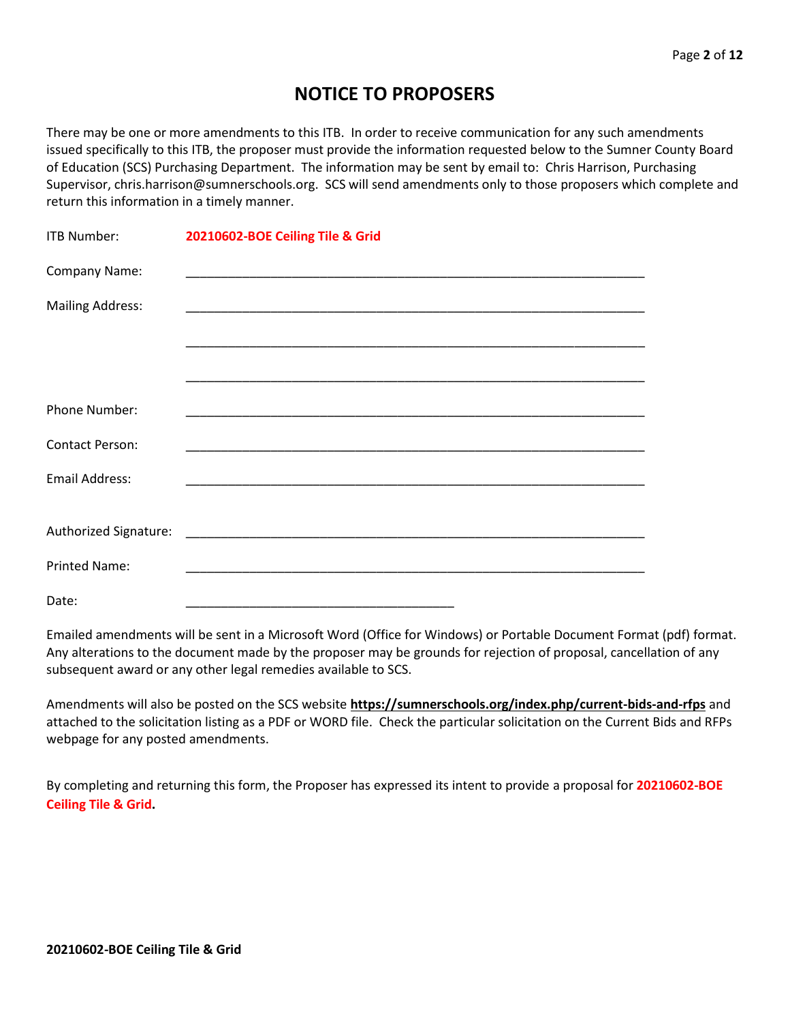## **NOTICE TO PROPOSERS**

There may be one or more amendments to this ITB. In order to receive communication for any such amendments issued specifically to this ITB, the proposer must provide the information requested below to the Sumner County Board of Education (SCS) Purchasing Department. The information may be sent by email to: Chris Harrison, Purchasing Supervisor, chris.harrison@sumnerschools.org. SCS will send amendments only to those proposers which complete and return this information in a timely manner.

| <b>ITB Number:</b>      | 20210602-BOE Ceiling Tile & Grid |
|-------------------------|----------------------------------|
| Company Name:           |                                  |
| <b>Mailing Address:</b> |                                  |
|                         |                                  |
|                         |                                  |
| Phone Number:           |                                  |
| <b>Contact Person:</b>  |                                  |
| <b>Email Address:</b>   |                                  |
|                         |                                  |
|                         |                                  |
| <b>Printed Name:</b>    |                                  |
| Date:                   |                                  |

Emailed amendments will be sent in a Microsoft Word (Office for Windows) or Portable Document Format (pdf) format. Any alterations to the document made by the proposer may be grounds for rejection of proposal, cancellation of any subsequent award or any other legal remedies available to SCS.

Amendments will also be posted on the SCS website **https://sumnerschools.org/index.php/current-bids-and-rfps** and attached to the solicitation listing as a PDF or WORD file. Check the particular solicitation on the Current Bids and RFPs webpage for any posted amendments.

By completing and returning this form, the Proposer has expressed its intent to provide a proposal for **20210602-BOE Ceiling Tile & Grid.**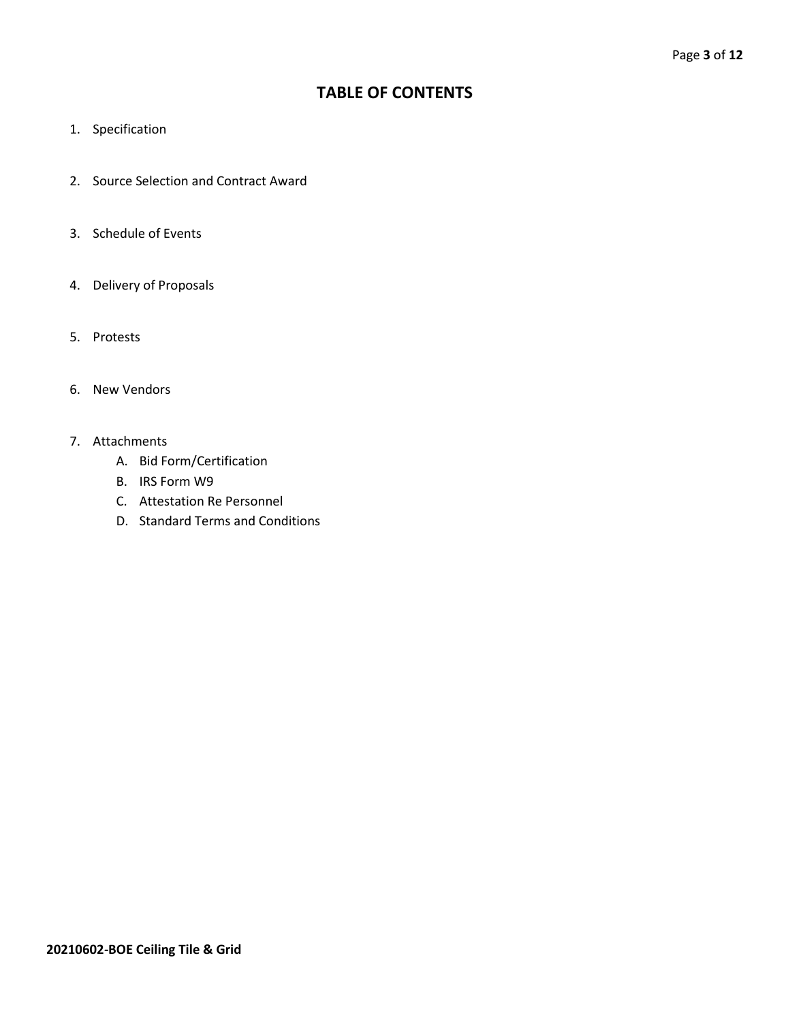## **TABLE OF CONTENTS**

- 1. Specification
- 2. Source Selection and Contract Award
- 3. Schedule of Events
- 4. Delivery of Proposals
- 5. Protests
- 6. New Vendors
- 7. Attachments
	- A. Bid Form/Certification
	- B. IRS Form W9
	- C. Attestation Re Personnel
	- D. Standard Terms and Conditions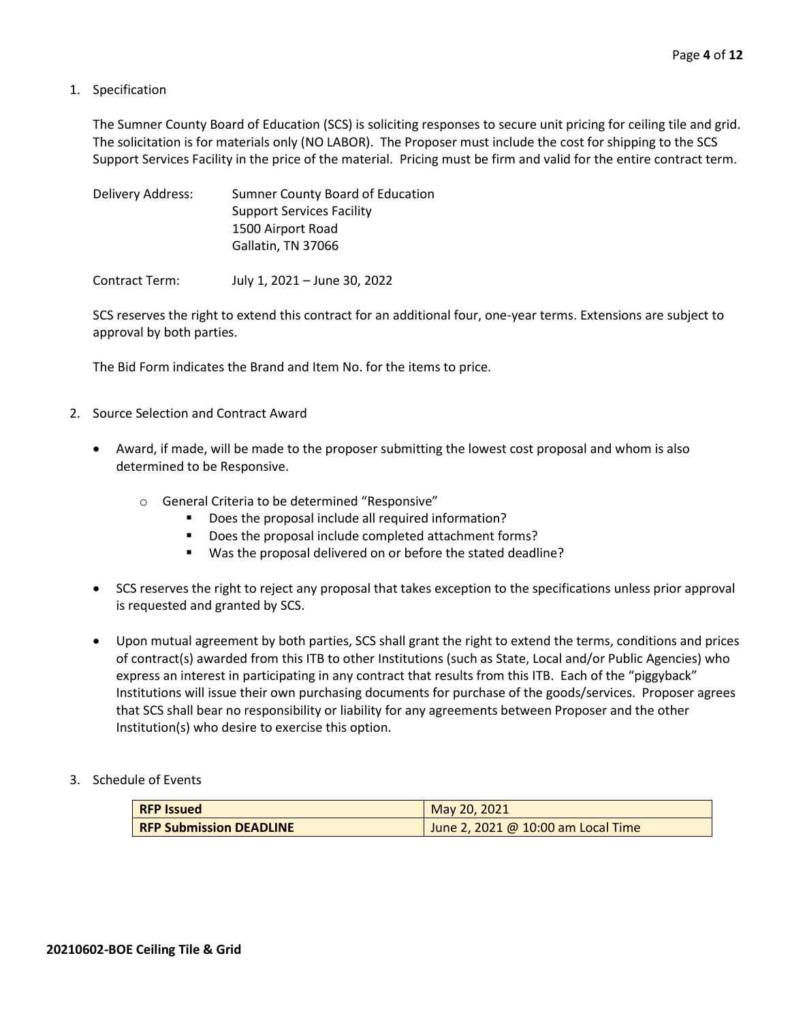#### 1. Specification

The Sumner County Board of Education (SCS) is soliciting responses to secure unit pricing for ceiling tile and grid. The solicitation is for materials only (NO LABOR). The Proposer must include the cost for shipping to the SCS Support Services Facility in the price of the material. Pricing must be firm and valid for the entire contract term.

| Delivery Address: | Sumner County Board of Education |
|-------------------|----------------------------------|
|                   | <b>Support Services Facility</b> |
|                   | 1500 Airport Road                |
|                   | Gallatin, TN 37066               |
|                   |                                  |

Contract Term: July 1, 2021 – June 30, 2022

SCS reserves the right to extend this contract for an additional four, one-year terms. Extensions are subject to approval by both parties.

The Bid Form indicates the Brand and Item No. for the items to price.

- 2. Source Selection and Contract Award
	- Award, if made, will be made to the proposer submitting the lowest cost proposal and whom is also determined to be Responsive.
		- o General Criteria to be determined "Responsive"
			- Does the proposal include all required information?
			- Does the proposal include completed attachment forms?
			- Was the proposal delivered on or before the stated deadline?
	- SCS reserves the right to reject any proposal that takes exception to the specifications unless prior approval is requested and granted by SCS.
	- Upon mutual agreement by both parties, SCS shall grant the right to extend the terms, conditions and prices of contract(s) awarded from this ITB to other Institutions (such as State, Local and/or Public Agencies) who express an interest in participating in any contract that results from this ITB. Each of the "piggyback" Institutions will issue their own purchasing documents for purchase of the goods/services. Proposer agrees that SCS shall bear no responsibility or liability for any agreements between Proposer and the other Institution(s) who desire to exercise this option.
- 3. Schedule of Events

| <b>RFP Issued</b>              | May 20, 2021                         |  |  |  |  |  |
|--------------------------------|--------------------------------------|--|--|--|--|--|
| <b>RFP Submission DEADLINE</b> | June 2, 2021 @ $10:00$ am Local Time |  |  |  |  |  |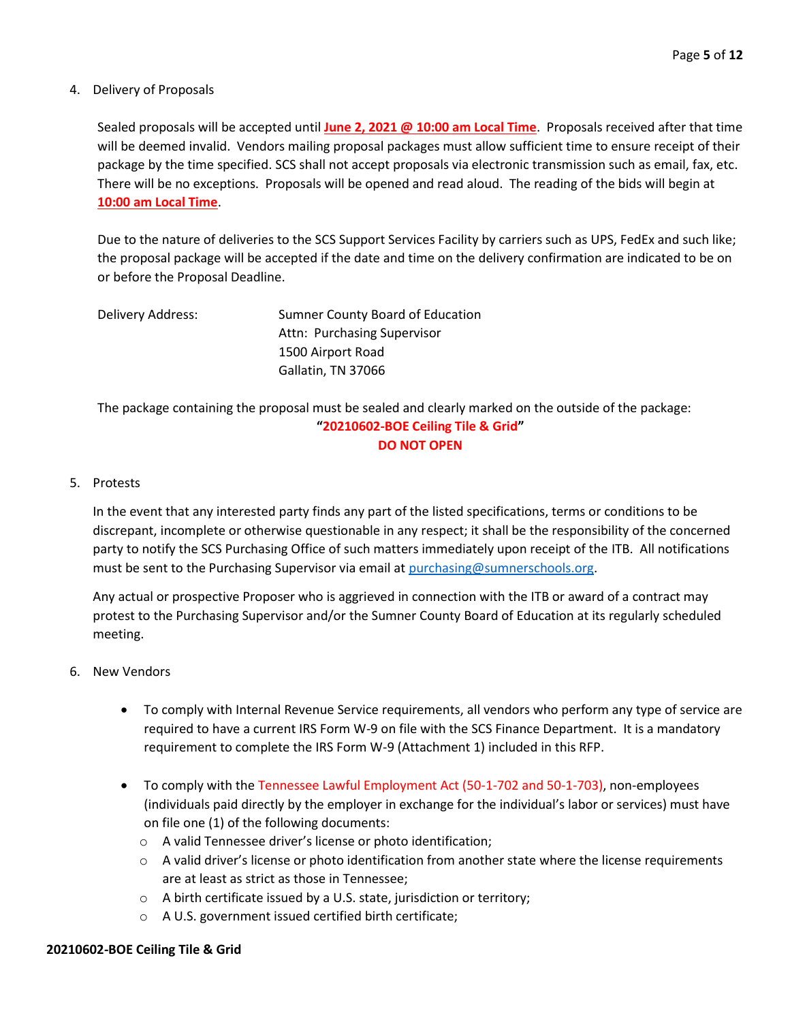#### 4. Delivery of Proposals

Sealed proposals will be accepted until **June 2, 2021 @ 10:00 am Local Time**. Proposals received after that time will be deemed invalid. Vendors mailing proposal packages must allow sufficient time to ensure receipt of their package by the time specified. SCS shall not accept proposals via electronic transmission such as email, fax, etc. There will be no exceptions. Proposals will be opened and read aloud. The reading of the bids will begin at **10:00 am Local Time**.

Due to the nature of deliveries to the SCS Support Services Facility by carriers such as UPS, FedEx and such like; the proposal package will be accepted if the date and time on the delivery confirmation are indicated to be on or before the Proposal Deadline.

| Delivery Address: | <b>Sumner County Board of Education</b> |  |
|-------------------|-----------------------------------------|--|
|                   | Attn: Purchasing Supervisor             |  |
|                   | 1500 Airport Road                       |  |
|                   | Gallatin, TN 37066                      |  |

The package containing the proposal must be sealed and clearly marked on the outside of the package: **"20210602-BOE Ceiling Tile & Grid" DO NOT OPEN**

#### 5. Protests

In the event that any interested party finds any part of the listed specifications, terms or conditions to be discrepant, incomplete or otherwise questionable in any respect; it shall be the responsibility of the concerned party to notify the SCS Purchasing Office of such matters immediately upon receipt of the ITB. All notifications must be sent to the Purchasing Supervisor via email at [purchasing@sumnerschools.org.](mailto:purchasing@sumnerschools.org)

Any actual or prospective Proposer who is aggrieved in connection with the ITB or award of a contract may protest to the Purchasing Supervisor and/or the Sumner County Board of Education at its regularly scheduled meeting.

#### 6. New Vendors

- To comply with Internal Revenue Service requirements, all vendors who perform any type of service are required to have a current IRS Form W-9 on file with the SCS Finance Department. It is a mandatory requirement to complete the IRS Form W-9 (Attachment 1) included in this RFP.
- To comply with the Tennessee Lawful Employment Act (50-1-702 and 50-1-703), non-employees (individuals paid directly by the employer in exchange for the individual's labor or services) must have on file one (1) of the following documents:
	- o A valid Tennessee driver's license or photo identification;
	- $\circ$  A valid driver's license or photo identification from another state where the license requirements are at least as strict as those in Tennessee;
	- o A birth certificate issued by a U.S. state, jurisdiction or territory;
	- o A U.S. government issued certified birth certificate;

#### **20210602-BOE Ceiling Tile & Grid**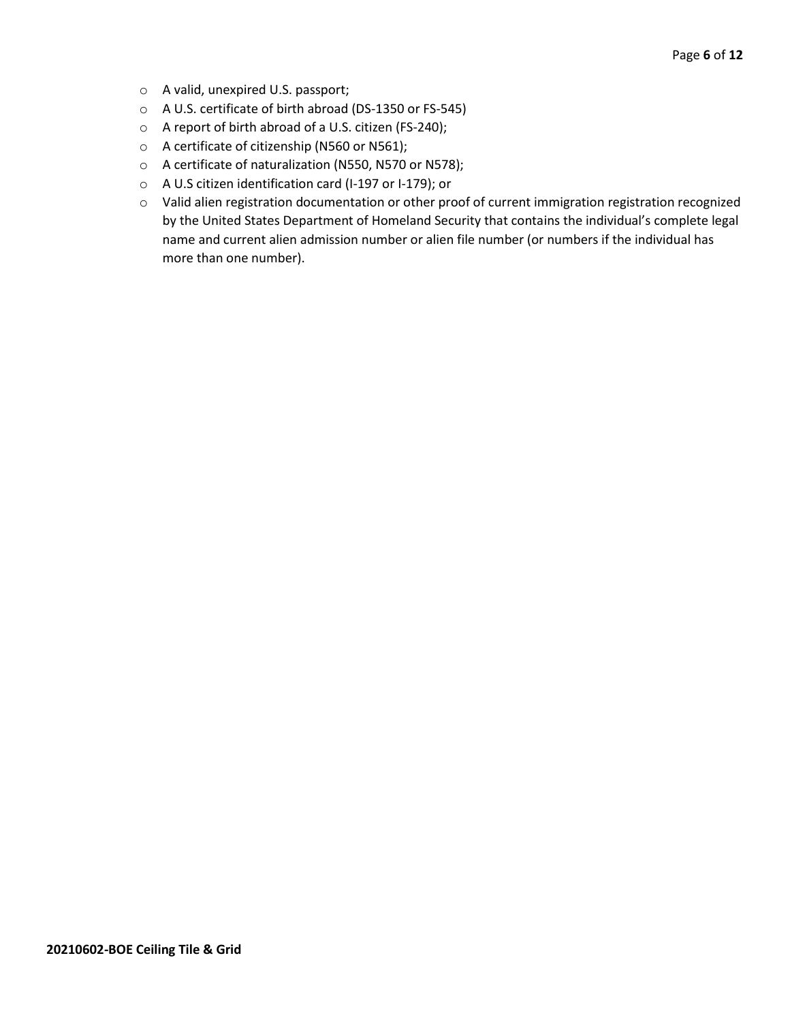- o A valid, unexpired U.S. passport;
- o A U.S. certificate of birth abroad (DS-1350 or FS-545)
- o A report of birth abroad of a U.S. citizen (FS-240);
- o A certificate of citizenship (N560 or N561);
- o A certificate of naturalization (N550, N570 or N578);
- o A U.S citizen identification card (I-197 or I-179); or
- o Valid alien registration documentation or other proof of current immigration registration recognized by the United States Department of Homeland Security that contains the individual's complete legal name and current alien admission number or alien file number (or numbers if the individual has more than one number).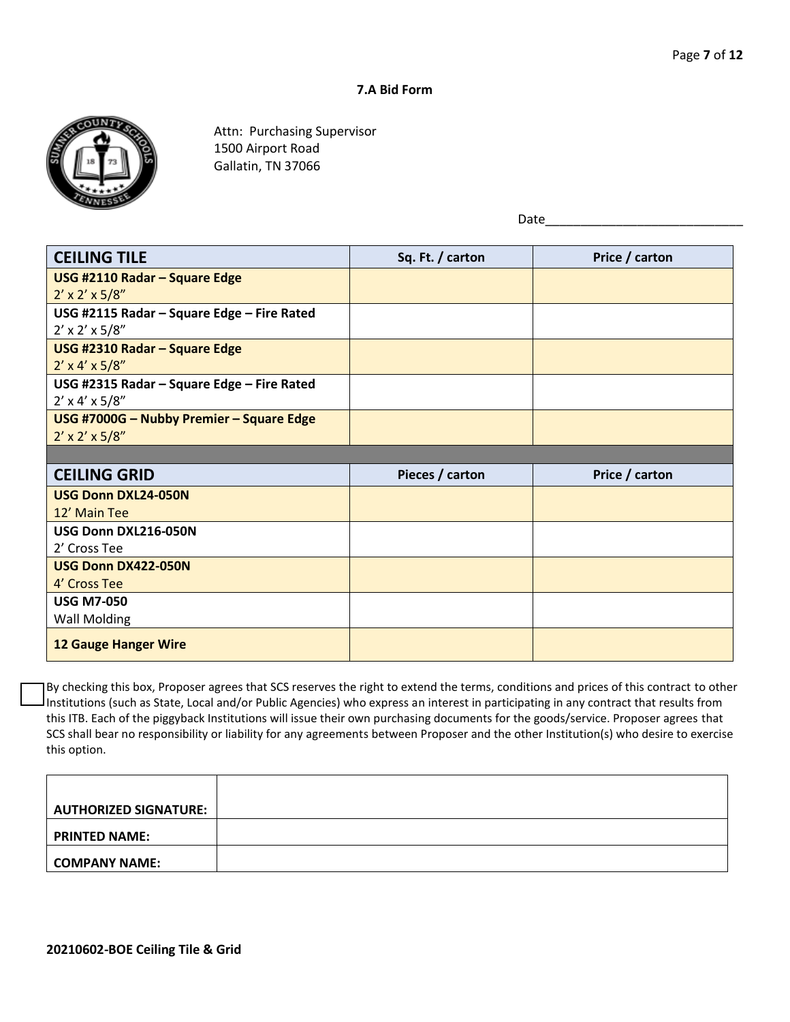#### **7.A Bid Form**



Attn: Purchasing Supervisor 1500 Airport Road Gallatin, TN 37066

 $Date_$ 

| <b>CEILING TILE</b>                        | Sq. Ft. / carton | Price / carton |
|--------------------------------------------|------------------|----------------|
| USG #2110 Radar - Square Edge              |                  |                |
| $2' \times 2' \times 5/8''$                |                  |                |
| USG #2115 Radar - Square Edge - Fire Rated |                  |                |
| $2' \times 2' \times 5/8''$                |                  |                |
| USG #2310 Radar - Square Edge              |                  |                |
| $2' \times 4' \times 5/8''$                |                  |                |
| USG #2315 Radar - Square Edge - Fire Rated |                  |                |
| $2' \times 4' \times 5/8''$                |                  |                |
| USG #7000G - Nubby Premier - Square Edge   |                  |                |
| $2' \times 2' \times 5/8''$                |                  |                |
|                                            |                  |                |
| <b>CEILING GRID</b>                        | Pieces / carton  | Price / carton |
| <b>USG Donn DXL24-050N</b>                 |                  |                |
| 12' Main Tee                               |                  |                |
| USG Donn DXL216-050N                       |                  |                |
| 2' Cross Tee                               |                  |                |
| USG Donn DX422-050N                        |                  |                |
| 4' Cross Tee                               |                  |                |
| <b>USG M7-050</b>                          |                  |                |
| <b>Wall Molding</b>                        |                  |                |
| <b>12 Gauge Hanger Wire</b>                |                  |                |

By checking this box, Proposer agrees that SCS reserves the right to extend the terms, conditions and prices of this contract to other Institutions (such as State, Local and/or Public Agencies) who express an interest in participating in any contract that results from this ITB. Each of the piggyback Institutions will issue their own purchasing documents for the goods/service. Proposer agrees that SCS shall bear no responsibility or liability for any agreements between Proposer and the other Institution(s) who desire to exercise this option.

| AUTHORIZED SIGNATURE: |  |
|-----------------------|--|
| <b>PRINTED NAME:</b>  |  |
| COMPANY NAME:         |  |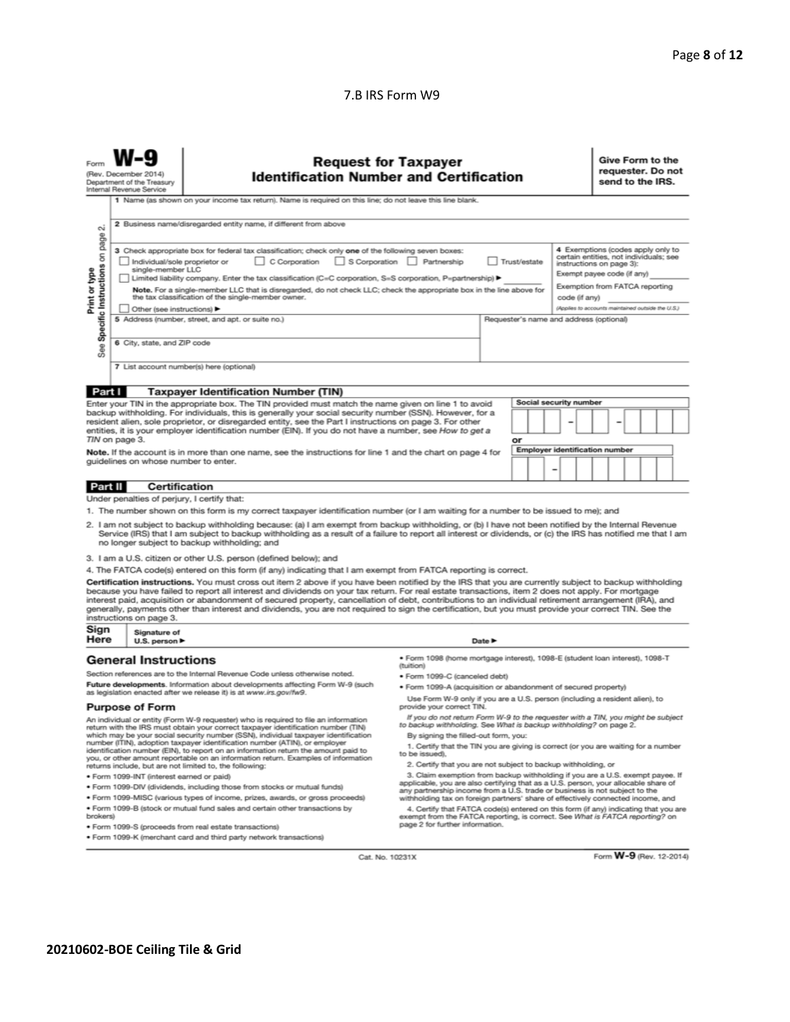#### 7.B IRS Form W9

|                                                                                                                                                                                                                                                                                                                                                                                                                                                                                                                                                                                                                                                                                                                                                                                                                                                                                                                                                                                                                                                                                                                                                                                                                                                                                                                                                                                                                                                                                                                                                                                                                                                                                                                                                                                                                                                                              | <b>Request for Taxpayer</b><br>(Rev. December 2014)<br><b>Identification Number and Certification</b><br>Department of the Treasury<br>Internal Revenue Service<br>1 Name (as shown on your income tax return). Name is required on this line; do not leave this line blank. |                                                                                                                                                       |  |                                                                                                                                                                            |  |  |  |  | Give Form to the<br>requester. Do not<br>send to the IRS. |  |  |  |  |  |
|------------------------------------------------------------------------------------------------------------------------------------------------------------------------------------------------------------------------------------------------------------------------------------------------------------------------------------------------------------------------------------------------------------------------------------------------------------------------------------------------------------------------------------------------------------------------------------------------------------------------------------------------------------------------------------------------------------------------------------------------------------------------------------------------------------------------------------------------------------------------------------------------------------------------------------------------------------------------------------------------------------------------------------------------------------------------------------------------------------------------------------------------------------------------------------------------------------------------------------------------------------------------------------------------------------------------------------------------------------------------------------------------------------------------------------------------------------------------------------------------------------------------------------------------------------------------------------------------------------------------------------------------------------------------------------------------------------------------------------------------------------------------------------------------------------------------------------------------------------------------------|------------------------------------------------------------------------------------------------------------------------------------------------------------------------------------------------------------------------------------------------------------------------------|-------------------------------------------------------------------------------------------------------------------------------------------------------|--|----------------------------------------------------------------------------------------------------------------------------------------------------------------------------|--|--|--|--|-----------------------------------------------------------|--|--|--|--|--|
| 2 Business name/disregarded entity name, if different from above<br>σû<br>page<br>4 Exemptions (codes apply only to<br>3 Check appropriate box for federal tax classification; check only one of the following seven boxes:<br>Specific Instructions on<br>certain entities, not individuals; see<br>C Corporation<br>S Corporation Partnership<br>Individual/sole proprietor or<br>Trust/estate<br>instructions on page 3):<br>single-member LLC<br>Print or type<br>Exempt payee code (if any)<br>Limited liability company. Enter the tax classification (C=C corporation, S=S corporation, P=partnership) ▶<br>Exemption from FATCA reporting<br>Note. For a single-member LLC that is disregarded, do not check LLC; check the appropriate box in the line above for<br>the tax classification of the single-member owner.<br>code (if anv)<br>(Applies to accounts maintained outside the U.S.)<br>Other (see instructions)<br>5 Address (number, street, and apt. or suite no.)<br>Requester's name and address (optional)<br>6 City, state, and ZIP code<br>See                                                                                                                                                                                                                                                                                                                                                                                                                                                                                                                                                                                                                                                                                                                                                                                                      |                                                                                                                                                                                                                                                                              |                                                                                                                                                       |  |                                                                                                                                                                            |  |  |  |  |                                                           |  |  |  |  |  |
|                                                                                                                                                                                                                                                                                                                                                                                                                                                                                                                                                                                                                                                                                                                                                                                                                                                                                                                                                                                                                                                                                                                                                                                                                                                                                                                                                                                                                                                                                                                                                                                                                                                                                                                                                                                                                                                                              |                                                                                                                                                                                                                                                                              |                                                                                                                                                       |  |                                                                                                                                                                            |  |  |  |  |                                                           |  |  |  |  |  |
| Part I<br><b>Taxpayer Identification Number (TIN)</b><br>Social security number<br>Enter your TIN in the appropriate box. The TIN provided must match the name given on line 1 to avoid<br>backup withholding. For individuals, this is generally your social security number (SSN). However, for a<br>resident alien, sole proprietor, or disregarded entity, see the Part I instructions on page 3. For other<br>entities, it is your employer identification number (EIN). If you do not have a number, see How to get a<br>TIN on page 3.<br>or<br><b>Employer identification number</b><br>Note. If the account is in more than one name, see the instructions for line 1 and the chart on page 4 for<br>guidelines on whose number to enter.                                                                                                                                                                                                                                                                                                                                                                                                                                                                                                                                                                                                                                                                                                                                                                                                                                                                                                                                                                                                                                                                                                                           |                                                                                                                                                                                                                                                                              |                                                                                                                                                       |  |                                                                                                                                                                            |  |  |  |  |                                                           |  |  |  |  |  |
| Part II                                                                                                                                                                                                                                                                                                                                                                                                                                                                                                                                                                                                                                                                                                                                                                                                                                                                                                                                                                                                                                                                                                                                                                                                                                                                                                                                                                                                                                                                                                                                                                                                                                                                                                                                                                                                                                                                      | <b>Certification</b>                                                                                                                                                                                                                                                         |                                                                                                                                                       |  |                                                                                                                                                                            |  |  |  |  |                                                           |  |  |  |  |  |
|                                                                                                                                                                                                                                                                                                                                                                                                                                                                                                                                                                                                                                                                                                                                                                                                                                                                                                                                                                                                                                                                                                                                                                                                                                                                                                                                                                                                                                                                                                                                                                                                                                                                                                                                                                                                                                                                              | Under penalties of perjury, I certify that:                                                                                                                                                                                                                                  |                                                                                                                                                       |  |                                                                                                                                                                            |  |  |  |  |                                                           |  |  |  |  |  |
| 1. The number shown on this form is my correct taxpayer identification number (or I am waiting for a number to be issued to me); and<br>2. I am not subject to backup withholding because: (a) I am exempt from backup withholding, or (b) I have not been notified by the Internal Revenue<br>Service (IRS) that I am subject to backup withholding as a result of a failure to report all interest or dividends, or (c) the IRS has notified me that I am<br>no longer subject to backup withholding; and<br>3. I am a U.S. citizen or other U.S. person (defined below); and<br>4. The FATCA code(s) entered on this form (if any) indicating that I am exempt from FATCA reporting is correct.<br>Certification instructions. You must cross out item 2 above if you have been notified by the IRS that you are currently subject to backup withholding<br>because you have failed to report all interest and dividends on your tax return. For real estate transactions, item 2 does not apply. For mortgage<br>interest paid, acquisition or abandonment of secured property, cancellation of debt, contributions to an individual retirement arrangement (IRA), and                                                                                                                                                                                                                                                                                                                                                                                                                                                                                                                                                                                                                                                                                                   |                                                                                                                                                                                                                                                                              |                                                                                                                                                       |  |                                                                                                                                                                            |  |  |  |  |                                                           |  |  |  |  |  |
|                                                                                                                                                                                                                                                                                                                                                                                                                                                                                                                                                                                                                                                                                                                                                                                                                                                                                                                                                                                                                                                                                                                                                                                                                                                                                                                                                                                                                                                                                                                                                                                                                                                                                                                                                                                                                                                                              | instructions on page 3.                                                                                                                                                                                                                                                      | generally, payments other than interest and dividends, you are not required to sign the certification, but you must provide your correct TIN. See the |  |                                                                                                                                                                            |  |  |  |  |                                                           |  |  |  |  |  |
| Sign<br>Here                                                                                                                                                                                                                                                                                                                                                                                                                                                                                                                                                                                                                                                                                                                                                                                                                                                                                                                                                                                                                                                                                                                                                                                                                                                                                                                                                                                                                                                                                                                                                                                                                                                                                                                                                                                                                                                                 | Signature of<br>U.S. person $\blacktriangleright$                                                                                                                                                                                                                            |                                                                                                                                                       |  | Date $\blacktriangleright$                                                                                                                                                 |  |  |  |  |                                                           |  |  |  |  |  |
| · Form 1098 (home mortgage interest), 1098-E (student loan interest), 1098-T<br><b>General Instructions</b><br>(tuition)<br>Section references are to the Internal Revenue Code unless otherwise noted.<br>· Form 1099-C (canceled debt)                                                                                                                                                                                                                                                                                                                                                                                                                                                                                                                                                                                                                                                                                                                                                                                                                                                                                                                                                                                                                                                                                                                                                                                                                                                                                                                                                                                                                                                                                                                                                                                                                                     |                                                                                                                                                                                                                                                                              |                                                                                                                                                       |  |                                                                                                                                                                            |  |  |  |  |                                                           |  |  |  |  |  |
| Future developments. Information about developments affecting Form W-9 (such<br>as legislation enacted after we release it) is at www.irs.gov/fw9.<br><b>Purpose of Form</b>                                                                                                                                                                                                                                                                                                                                                                                                                                                                                                                                                                                                                                                                                                                                                                                                                                                                                                                                                                                                                                                                                                                                                                                                                                                                                                                                                                                                                                                                                                                                                                                                                                                                                                 |                                                                                                                                                                                                                                                                              |                                                                                                                                                       |  | · Form 1099-A (acquisition or abandonment of secured property)<br>Use Form W-9 only if you are a U.S. person (including a resident alien), to<br>provide your correct TIN. |  |  |  |  |                                                           |  |  |  |  |  |
| If you do not return Form W-9 to the requester with a TIN, you might be subject<br>An individual or entity (Form W-9 requester) who is required to file an information<br>to backup withholding. See What is backup withholding? on page 2.<br>return with the IRS must obtain your correct taxpayer identification number (TIN)<br>which may be your social security number (SSN), individual taxpayer identification<br>By signing the filled-out form, you:<br>number (ITIN), adoption taxpayer identification number (ATIN), or employer<br>1. Certify that the TIN you are giving is correct (or you are waiting for a number<br>identification number (EIN), to report on an information return the amount paid to<br>to be issued).<br>you, or other amount reportable on an information return. Examples of information<br>2. Certify that you are not subject to backup withholding, or<br>returns include, but are not limited to, the following:<br>3. Claim exemption from backup withholding if you are a U.S. exempt payee. If<br>· Form 1099-INT (interest earned or paid)<br>applicable, you are also certifying that as a U.S. person, your allocable share of<br>. Form 1099-DIV (dividends, including those from stocks or mutual funds)<br>any partnership income from a U.S. trade or business is not subject to the<br>* Form 1099-MISC (various types of income, prizes, awards, or gross proceeds)<br>withholding tax on foreign partners' share of effectively connected income, and<br>. Form 1099-B (stock or mutual fund sales and certain other transactions by<br>4. Certify that FATCA code(s) entered on this form (if any) indicating that you are<br>exempt from the FATCA reporting, is correct. See What is FATCA reporting? on<br>brokers)<br>page 2 for further information.<br>· Form 1099-S (proceeds from real estate transactions) |                                                                                                                                                                                                                                                                              |                                                                                                                                                       |  |                                                                                                                                                                            |  |  |  |  |                                                           |  |  |  |  |  |

Cat. No. 10231X

Form W-9 (Rev. 12-2014)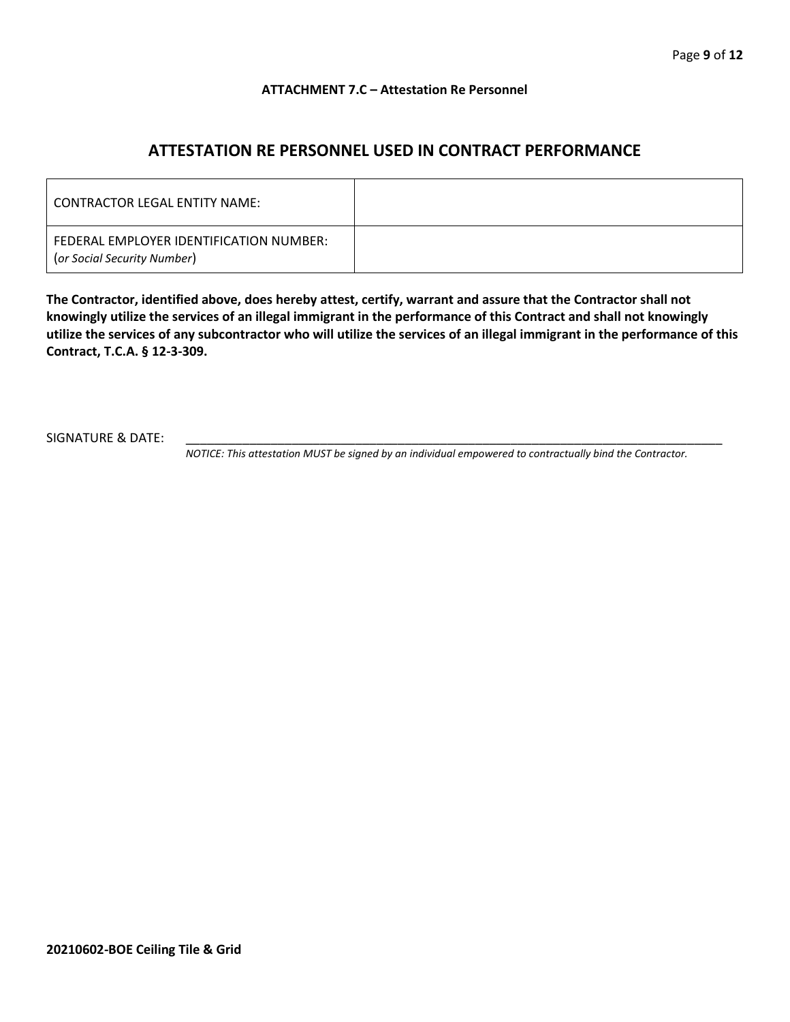#### **ATTACHMENT 7.C – Attestation Re Personnel**

## **ATTESTATION RE PERSONNEL USED IN CONTRACT PERFORMANCE**

| CONTRACTOR LEGAL ENTITY NAME:                                          |  |
|------------------------------------------------------------------------|--|
| FEDERAL EMPLOYER IDENTIFICATION NUMBER:<br>(or Social Security Number) |  |

**The Contractor, identified above, does hereby attest, certify, warrant and assure that the Contractor shall not knowingly utilize the services of an illegal immigrant in the performance of this Contract and shall not knowingly utilize the services of any subcontractor who will utilize the services of an illegal immigrant in the performance of this Contract, T.C.A. § 12-3-309.**

SIGNATURE & DATE:

*NOTICE: This attestation MUST be signed by an individual empowered to contractually bind the Contractor.*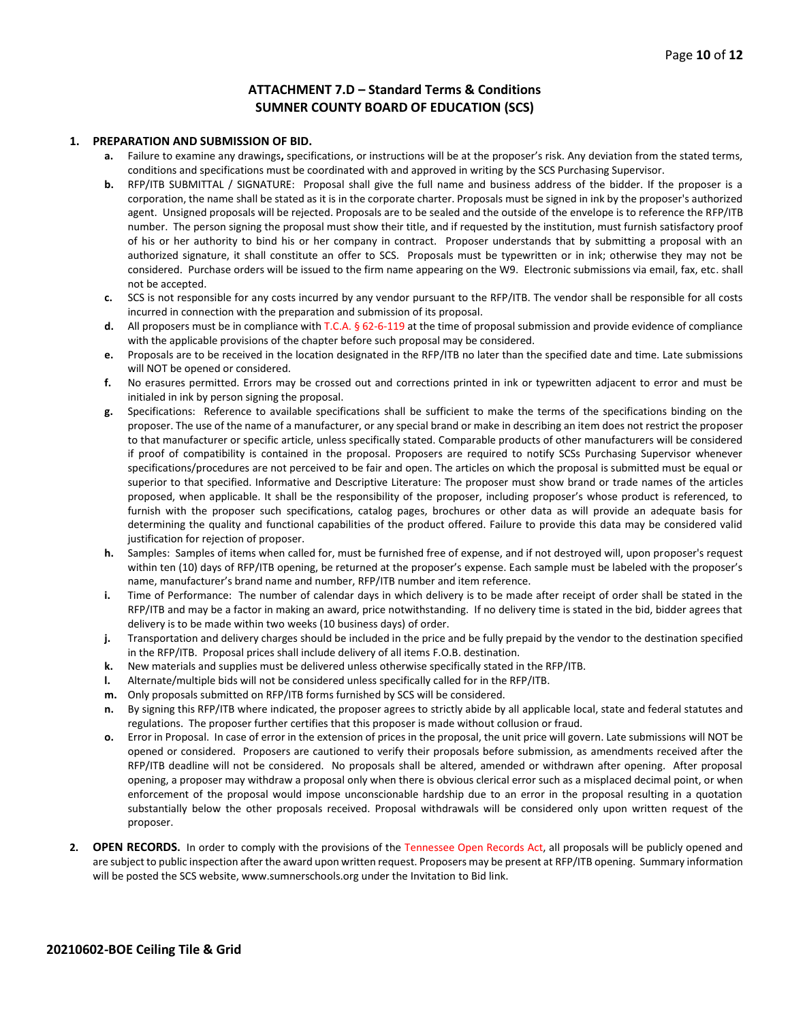#### **ATTACHMENT 7.D – Standard Terms & Conditions SUMNER COUNTY BOARD OF EDUCATION (SCS)**

#### **1. PREPARATION AND SUBMISSION OF BID.**

- **a.** Failure to examine any drawings**,** specifications, or instructions will be at the proposer's risk. Any deviation from the stated terms, conditions and specifications must be coordinated with and approved in writing by the SCS Purchasing Supervisor.
- **b.** RFP/ITB SUBMITTAL / SIGNATURE: Proposal shall give the full name and business address of the bidder. If the proposer is a corporation, the name shall be stated as it is in the corporate charter. Proposals must be signed in ink by the proposer's authorized agent. Unsigned proposals will be rejected. Proposals are to be sealed and the outside of the envelope is to reference the RFP/ITB number. The person signing the proposal must show their title, and if requested by the institution, must furnish satisfactory proof of his or her authority to bind his or her company in contract. Proposer understands that by submitting a proposal with an authorized signature, it shall constitute an offer to SCS. Proposals must be typewritten or in ink; otherwise they may not be considered. Purchase orders will be issued to the firm name appearing on the W9. Electronic submissions via email, fax, etc. shall not be accepted.
- **c.** SCS is not responsible for any costs incurred by any vendor pursuant to the RFP/ITB. The vendor shall be responsible for all costs incurred in connection with the preparation and submission of its proposal.
- **d.** All proposers must be in compliance with T.C.A. § 62-6-119 at the time of proposal submission and provide evidence of compliance with the applicable provisions of the chapter before such proposal may be considered.
- **e.** Proposals are to be received in the location designated in the RFP/ITB no later than the specified date and time. Late submissions will NOT be opened or considered.
- **f.** No erasures permitted. Errors may be crossed out and corrections printed in ink or typewritten adjacent to error and must be initialed in ink by person signing the proposal.
- **g.** Specifications: Reference to available specifications shall be sufficient to make the terms of the specifications binding on the proposer. The use of the name of a manufacturer, or any special brand or make in describing an item does not restrict the proposer to that manufacturer or specific article, unless specifically stated. Comparable products of other manufacturers will be considered if proof of compatibility is contained in the proposal. Proposers are required to notify SCSs Purchasing Supervisor whenever specifications/procedures are not perceived to be fair and open. The articles on which the proposal is submitted must be equal or superior to that specified. Informative and Descriptive Literature: The proposer must show brand or trade names of the articles proposed, when applicable. It shall be the responsibility of the proposer, including proposer's whose product is referenced, to furnish with the proposer such specifications, catalog pages, brochures or other data as will provide an adequate basis for determining the quality and functional capabilities of the product offered. Failure to provide this data may be considered valid justification for rejection of proposer.
- **h.** Samples: Samples of items when called for, must be furnished free of expense, and if not destroyed will, upon proposer's request within ten (10) days of RFP/ITB opening, be returned at the proposer's expense. Each sample must be labeled with the proposer's name, manufacturer's brand name and number, RFP/ITB number and item reference.
- **i.** Time of Performance: The number of calendar days in which delivery is to be made after receipt of order shall be stated in the RFP/ITB and may be a factor in making an award, price notwithstanding. If no delivery time is stated in the bid, bidder agrees that delivery is to be made within two weeks (10 business days) of order.
- **j.** Transportation and delivery charges should be included in the price and be fully prepaid by the vendor to the destination specified in the RFP/ITB. Proposal prices shall include delivery of all items F.O.B. destination.
- **k.** New materials and supplies must be delivered unless otherwise specifically stated in the RFP/ITB.
- **l.** Alternate/multiple bids will not be considered unless specifically called for in the RFP/ITB.
- **m.** Only proposals submitted on RFP/ITB forms furnished by SCS will be considered.
- **n.** By signing this RFP/ITB where indicated, the proposer agrees to strictly abide by all applicable local, state and federal statutes and regulations. The proposer further certifies that this proposer is made without collusion or fraud.
- **o.** Error in Proposal. In case of error in the extension of prices in the proposal, the unit price will govern. Late submissions will NOT be opened or considered. Proposers are cautioned to verify their proposals before submission, as amendments received after the RFP/ITB deadline will not be considered. No proposals shall be altered, amended or withdrawn after opening. After proposal opening, a proposer may withdraw a proposal only when there is obvious clerical error such as a misplaced decimal point, or when enforcement of the proposal would impose unconscionable hardship due to an error in the proposal resulting in a quotation substantially below the other proposals received. Proposal withdrawals will be considered only upon written request of the proposer.
- **2. OPEN RECORDS.** In order to comply with the provisions of the Tennessee Open Records Act, all proposals will be publicly opened and are subject to public inspection after the award upon written request. Proposers may be present at RFP/ITB opening. Summary information will be posted the SCS website, www.sumnerschools.org under the Invitation to Bid link.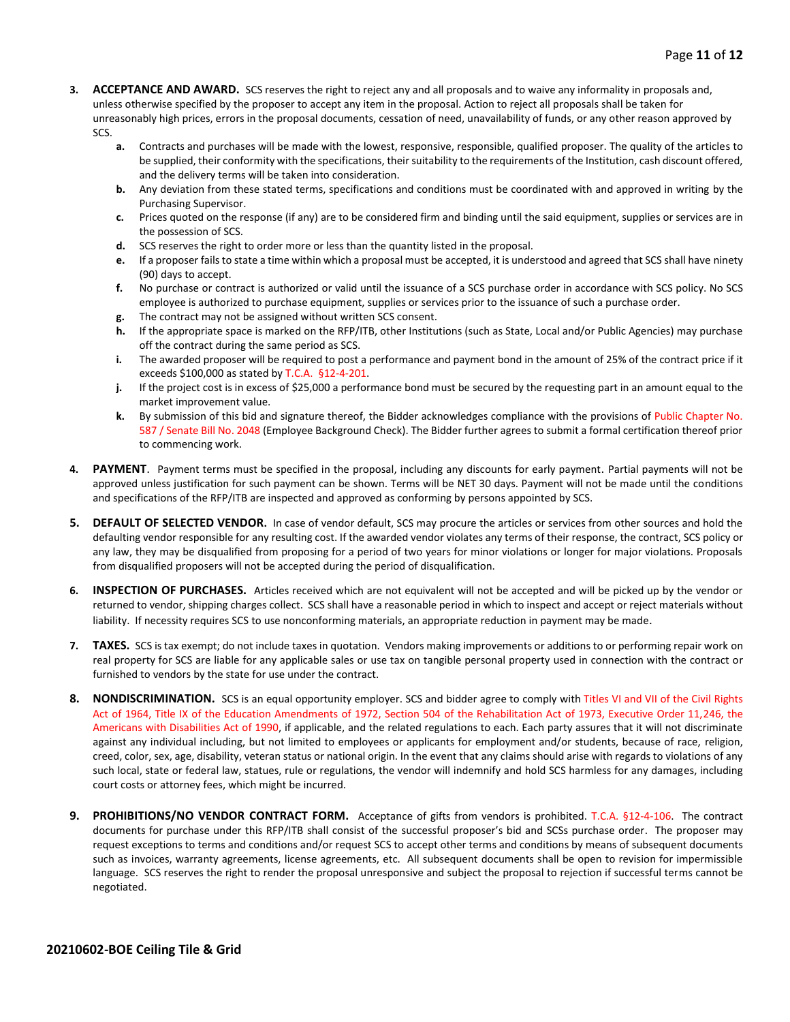- **3. ACCEPTANCE AND AWARD.** SCS reserves the right to reject any and all proposals and to waive any informality in proposals and, unless otherwise specified by the proposer to accept any item in the proposal. Action to reject all proposals shall be taken for unreasonably high prices, errors in the proposal documents, cessation of need, unavailability of funds, or any other reason approved by SCS.
	- **a.** Contracts and purchases will be made with the lowest, responsive, responsible, qualified proposer. The quality of the articles to be supplied, their conformity with the specifications, their suitability to the requirements of the Institution, cash discount offered, and the delivery terms will be taken into consideration.
	- **b.** Any deviation from these stated terms, specifications and conditions must be coordinated with and approved in writing by the Purchasing Supervisor.
	- **c.** Prices quoted on the response (if any) are to be considered firm and binding until the said equipment, supplies or services are in the possession of SCS.
	- **d.** SCS reserves the right to order more or less than the quantity listed in the proposal.
	- **e.** If a proposer fails to state a time within which a proposal must be accepted, it is understood and agreed that SCS shall have ninety (90) days to accept.
	- **f.** No purchase or contract is authorized or valid until the issuance of a SCS purchase order in accordance with SCS policy. No SCS employee is authorized to purchase equipment, supplies or services prior to the issuance of such a purchase order.
	- **g.** The contract may not be assigned without written SCS consent.
	- **h.** If the appropriate space is marked on the RFP/ITB, other Institutions (such as State, Local and/or Public Agencies) may purchase off the contract during the same period as SCS.
	- **i.** The awarded proposer will be required to post a performance and payment bond in the amount of 25% of the contract price if it exceeds \$100,000 as stated by T.C.A. §12-4-201.
	- **j.** If the project cost is in excess of \$25,000 a performance bond must be secured by the requesting part in an amount equal to the market improvement value.
	- **k.** By submission of this bid and signature thereof, the Bidder acknowledges compliance with the provisions of Public Chapter No. 587 / Senate Bill No. 2048 (Employee Background Check). The Bidder further agrees to submit a formal certification thereof prior to commencing work.
- **4. PAYMENT**. Payment terms must be specified in the proposal, including any discounts for early payment. Partial payments will not be approved unless justification for such payment can be shown. Terms will be NET 30 days. Payment will not be made until the conditions and specifications of the RFP/ITB are inspected and approved as conforming by persons appointed by SCS.
- **5. DEFAULT OF SELECTED VENDOR.** In case of vendor default, SCS may procure the articles or services from other sources and hold the defaulting vendor responsible for any resulting cost. If the awarded vendor violates any terms of their response, the contract, SCS policy or any law, they may be disqualified from proposing for a period of two years for minor violations or longer for major violations. Proposals from disqualified proposers will not be accepted during the period of disqualification.
- **6. INSPECTION OF PURCHASES.** Articles received which are not equivalent will not be accepted and will be picked up by the vendor or returned to vendor, shipping charges collect. SCS shall have a reasonable period in which to inspect and accept or reject materials without liability. If necessity requires SCS to use nonconforming materials, an appropriate reduction in payment may be made.
- **7. TAXES.** SCS is tax exempt; do not include taxes in quotation. Vendors making improvements or additions to or performing repair work on real property for SCS are liable for any applicable sales or use tax on tangible personal property used in connection with the contract or furnished to vendors by the state for use under the contract.
- **8. NONDISCRIMINATION.** SCS is an equal opportunity employer. SCS and bidder agree to comply with Titles VI and VII of the Civil Rights Act of 1964, Title IX of the Education Amendments of 1972, Section 504 of the Rehabilitation Act of 1973, Executive Order 11,246, the Americans with Disabilities Act of 1990, if applicable, and the related regulations to each. Each party assures that it will not discriminate against any individual including, but not limited to employees or applicants for employment and/or students, because of race, religion, creed, color, sex, age, disability, veteran status or national origin. In the event that any claims should arise with regards to violations of any such local, state or federal law, statues, rule or regulations, the vendor will indemnify and hold SCS harmless for any damages, including court costs or attorney fees, which might be incurred.
- **9. PROHIBITIONS/NO VENDOR CONTRACT FORM.** Acceptance of gifts from vendors is prohibited. T.C.A. §12-4-106. The contract documents for purchase under this RFP/ITB shall consist of the successful proposer's bid and SCSs purchase order. The proposer may request exceptions to terms and conditions and/or request SCS to accept other terms and conditions by means of subsequent documents such as invoices, warranty agreements, license agreements, etc. All subsequent documents shall be open to revision for impermissible language. SCS reserves the right to render the proposal unresponsive and subject the proposal to rejection if successful terms cannot be negotiated.